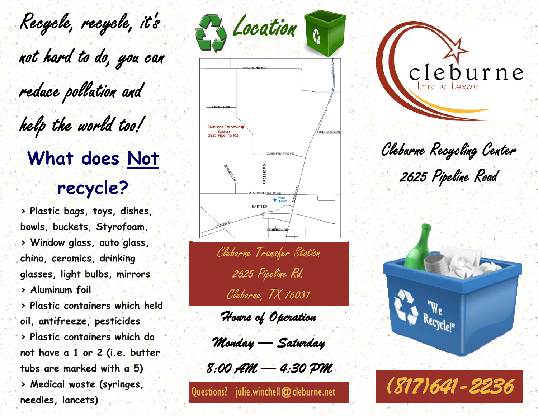Recycle, recycle, it's Paulocation not hard to do, you can reduce pollution and help the world too! **What does Not recycle?** 

**> Plastic bags, toys, dishes, bowls, buckets, Styrofoam, > Window glass, auto glass, china, ceramics, drinking glasses, light bulbs, mirrors > Aluminum foil > Plastic containers which held oil, antifreeze, pesticides > Plastic containers which do not have a 1 or 2 (i.e. butter tubs are marked with a 5) > Medical waste (syringes, needles, lancets)** 



Cleburne Transfer Station 2625 Pipeline Rd. Cleburne, TX 76031

*Hours of Operation Operation* 

*Monday — Saturday Saturday* 

*8:00 AM 8:00 AM — 4:30 PM 4:30 PM* 

Questions? julie.winchell@cleburne.net



Cleburne Recycling Center 2625 Pipeline Road



*(817)641 (817)641-2236*